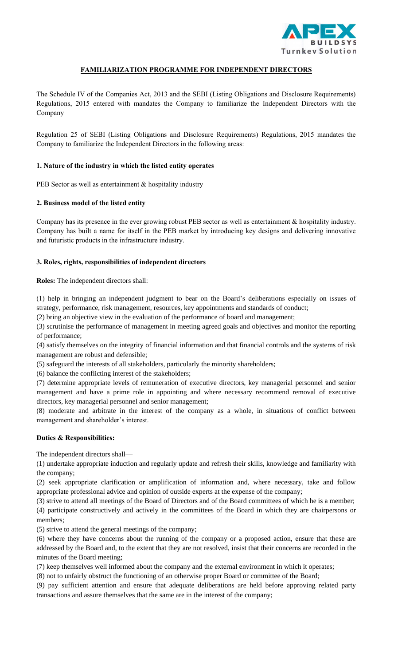

# **FAMILIARIZATION PROGRAMME FOR INDEPENDENT DIRECTORS**

The Schedule IV of the Companies Act, 2013 and the SEBI (Listing Obligations and Disclosure Requirements) Regulations, 2015 entered with mandates the Company to familiarize the Independent Directors with the Company

Regulation 25 of SEBI (Listing Obligations and Disclosure Requirements) Regulations, 2015 mandates the Company to familiarize the Independent Directors in the following areas:

## **1. Nature of the industry in which the listed entity operates**

PEB Sector as well as entertainment & hospitality industry

## **2. Business model of the listed entity**

Company has its presence in the ever growing robust PEB sector as well as entertainment & hospitality industry. Company has built a name for itself in the PEB market by introducing key designs and delivering innovative and futuristic products in the infrastructure industry.

## **3. Roles, rights, responsibilities of independent directors**

**Roles:** The independent directors shall:

(1) help in bringing an independent judgment to bear on the Board's deliberations especially on issues of strategy, performance, risk management, resources, key appointments and standards of conduct;

(2) bring an objective view in the evaluation of the performance of board and management;

(3) scrutinise the performance of management in meeting agreed goals and objectives and monitor the reporting of performance;

(4) satisfy themselves on the integrity of financial information and that financial controls and the systems of risk management are robust and defensible;

(5) safeguard the interests of all stakeholders, particularly the minority shareholders;

(6) balance the conflicting interest of the stakeholders;

(7) determine appropriate levels of remuneration of executive directors, key managerial personnel and senior management and have a prime role in appointing and where necessary recommend removal of executive directors, key managerial personnel and senior management;

(8) moderate and arbitrate in the interest of the company as a whole, in situations of conflict between management and shareholder's interest.

### **Duties & Responsibilities:**

The independent directors shall—

(1) undertake appropriate induction and regularly update and refresh their skills, knowledge and familiarity with the company;

(2) seek appropriate clarification or amplification of information and, where necessary, take and follow appropriate professional advice and opinion of outside experts at the expense of the company;

(3) strive to attend all meetings of the Board of Directors and of the Board committees of which he is a member; (4) participate constructively and actively in the committees of the Board in which they are chairpersons or members;

(5) strive to attend the general meetings of the company;

(6) where they have concerns about the running of the company or a proposed action, ensure that these are addressed by the Board and, to the extent that they are not resolved, insist that their concerns are recorded in the minutes of the Board meeting;

(7) keep themselves well informed about the company and the external environment in which it operates;

(8) not to unfairly obstruct the functioning of an otherwise proper Board or committee of the Board;

(9) pay sufficient attention and ensure that adequate deliberations are held before approving related party transactions and assure themselves that the same are in the interest of the company;